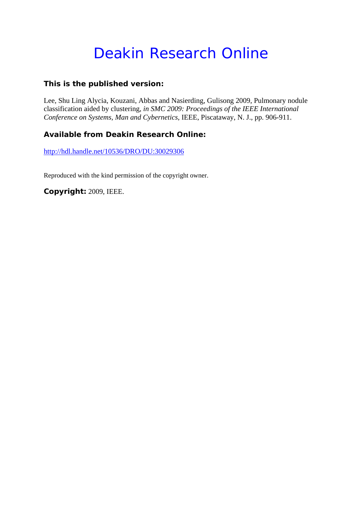# Deakin Research Online

### **This is the published version:**

Lee, Shu Ling Alycia, Kouzani, Abbas and Nasierding, Gulisong 2009, Pulmonary nodule classification aided by clustering*, in SMC 2009: Proceedings of the IEEE International Conference on Systems, Man and Cybernetics*, IEEE, Piscataway, N. J., pp. 906-911.

## **Available from Deakin Research Online:**

http://hdl.handle.net/10536/DRO/DU:30029306

Reproduced with the kind permission of the copyright owner.

**Copyright:** 2009, IEEE.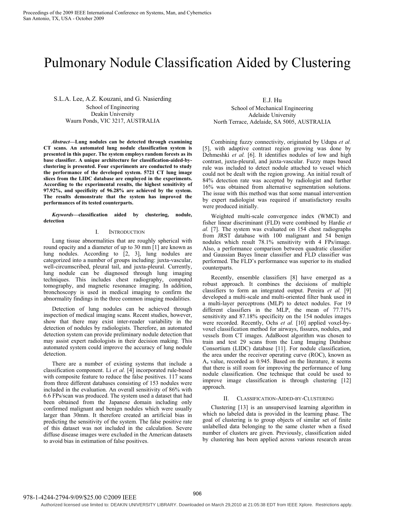## Pulmonary Nodule Classification Aided by Clustering

S.L.A. Lee, A.Z. Kouzani, and G. Nasierding School of Engineering Deakin University Waurn Ponds, VIC 3217, AUSTRALIA

*Abstract***—Lung nodules can be detected through examining CT scans. An automated lung nodule classification system is presented in this paper. The system employs random forests as its base classifier. A unique architecture for classification-aided-byclustering is presented. Four experiments are conducted to study the performance of the developed system. 5721 CT lung image slices from the LIDC database are employed in the experiments. According to the experimental results, the highest sensitivity of 97.92%, and specificity of 96.28% are achieved by the system. The results demonstrate that the system has improved the performances of its tested counterparts.** 

*Keywords—***classification aided by clustering, nodule, detection**

#### I. INTRODUCTION

Lung tissue abnormalities that are roughly spherical with round opacity and a diameter of up to 30 mm [1] are known as lung nodules. According to [2, 3], lung nodules are categorized into a number of groups including: juxta-vascular, well-circumscribed, pleural tail, and juxta-pleural. Currently, lung nodule can be diagnosed through lung imaging techniques. This includes chest radiography, computed tomography, and magnetic resonance imaging. In addition, bronchoscopy is used in medical imaging to confirm the abnormality findings in the three common imaging modalities.

Detection of lung nodules can be achieved through inspection of medical imaging scans. Recent studies, however, show that there may exist inter-reader variability in the detection of nodules by radiologists. Therefore, an automated detection system can provide preliminary nodule detection that may assist expert radiologists in their decision making. This automated system could improve the accuracy of lung nodule detection.

There are a number of existing systems that include a classification component. Li *et al.* [4] incorporated rule-based with composite feature to reduce the false positives. 117 scans from three different databases consisting of 153 nodules were included in the evaluation. An overall sensitivity of 86% with 6.6 FPs/scan was produced. The system used a dataset that had been obtained from the Japanese domain including only confirmed malignant and benign nodules which were usually larger than 30mm. It therefore created an artificial bias in predicting the sensitivity of the system. The false positive rate of this dataset was not included in the calculation. Severe diffuse disease images were excluded in the American datasets to avoid bias in estimation of false positives.

E.J. Hu

School of Mechanical Engineering Adelaide University North Terrace, Adelaide, SA 5005, AUSTRALIA

Combining fuzzy connectivity, originated by Udupa *et al.* [5], with adaptive contrast region growing was done by Dehmeshki *et al.* [6]. It identifies nodules of low and high contrast, juxta-pleural, and juxta-vascular. Fuzzy maps based rule was included to detect nodule attached to vessel which could not be dealt with the region growing. An initial result of 84% detection rate was accepted by radiologist and further 16% was obtained from alternative segmentation solutions. The issue with this method was that some manual intervention by expert radiologist was required if unsatisfactory results were produced initially.

Weighted multi-scale convergence index (WMCI) and fisher linear discriminant (FLD) were combined by Hardie *et al.* [7]. The system was evaluated on 154 chest radiographs from JRST database with 100 malignant and 54 benign nodules which result 78.1% sensitivity with 4 FPs/image. Also, a performance comparison between quadratic classifier and Gaussian Bayes linear classifier and FLD classifier was performed. The FLD's performance was superior to its studied counterparts.

Recently, ensemble classifiers [8] have emerged as a robust approach. It combines the decisions of multiple classifiers to form an integrated output. Pereira *et al.* [9] developed a multi-scale and multi-oriented filter bank used in a multi-layer perceptrons (MLP) to detect nodules. For 19 different classifiers in the MLP, the mean of 77.71% sensitivity and 87.18% specificity on the 154 nodules images were recorded. Recently, Ochs *et al.* [10] applied voxel-byvoxel classification method for airways, fissures, nodules, and vessels from CT images. AdaBoost algorithm was chosen to train and test 29 scans from the Lung Imaging Database Consortium (LIDC) database [11]. For nodule classification, the area under the receiver operating curve (ROC), known as Az value, recorded as 0.945. Based on the literature, it seems that there is still room for improving the performance of lung nodule classification. One technique that could be used to improve image classification is through clustering [12] approach.

#### II. CLASSIFICATION-AIDED-BY-CLUSTERING

Clustering [13] is an unsupervised learning algorithm in which no labeled data is provided in the learning phase. The goal of clustering is to group objects of similar set of finite unlabelled data belonging to the same cluster when a fixed number of clusters are given. Previously, classification aided by clustering has been applied across various research areas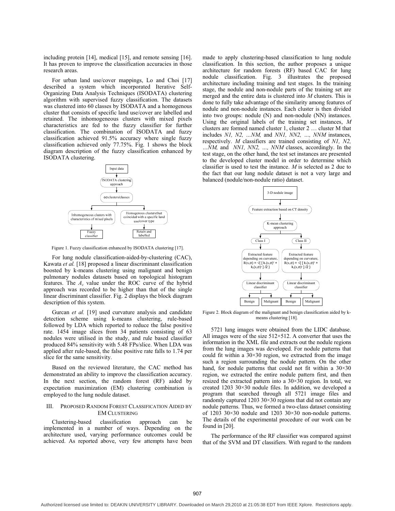including protein [14], medical [15], and remote sensing [16]. It has proven to improve the classification accuracies in those research areas.

For urban land use/cover mappings, Lo and Choi [17] described a system which incorporated Iterative Self-Organizing Data Analysis Techniques (ISODATA) clustering algorithm with supervised fuzzy classification. The datasets was clustered into 60 classes by ISODATA and a homogenous cluster that consists of specific land use/cover are labelled and retained. The inhomogeneous clusters with mixed pixels characteristics are fed to the fuzzy classifier for further classification. The combination of ISODATA and fuzzy classification achieved 91.5% accuracy where single fuzzy classification achieved only 77.75%. Fig. 1 shows the block diagram description of the fuzzy classification enhanced by ISODATA clustering.



Figure 1. Fuzzy classification enhanced by ISODATA clustering [17].

For lung nodule classification-aided-by-clustering (CAC), Kawata *et al.* [18] proposed a linear discriminant classification boosted by k-means clustering using malignant and benign pulmonary nodules datasets based on topological histogram features. The  $A<sub>z</sub>$  value under the ROC curve of the hybrid approach was recorded to be higher than that of the single linear discriminant classifier. Fig. 2 displays the block diagram description of this system.

Gurcan *et al.* [19] used curvature analysis and candidate detection scheme using k-means clustering, rule-based followed by LDA which reported to reduce the false positive rate. 1454 image slices from 34 patients consisting of 63 nodules were utilised in the study, and rule based classifier produced 84% sensitivity with 5.48 FPs/slice. When LDA was applied after rule-based, the false positive rate falls to 1.74 per slice for the same sensitivity.

Based on the reviewed literature, the CAC method has demonstrated an ability to improve the classification accuracy. In the next section, the random forest (RF) aided by expectation maximization (EM) clustering combination is employed to the lung nodule dataset.

#### III. PROPOSED RANDOM FOREST CLASSIFICATION AIDED BY EM CLUSTERING

Clustering-based classification approach can be implemented in a number of ways. Depending on the architecture used, varying performance outcomes could be achieved. As reported above, very few attempts have been made to apply clustering-based classification to lung nodule classification. In this section, the author proposes a unique architecture for random forests (RF) based CAC for lung nodule classification. Fig. 3 illustrates the proposed architecture including training and test stages. In the training stage, the nodule and non-nodule parts of the training set are merged and the entire data is clustered into *M* clusters. This is done to fully take advantage of the similarity among features of nodule and non-nodule instances. Each cluster is then divided into two groups: nodule (N) and non-nodule (NN) instances. Using the original labels of the training set instances, *M* clusters are formed named cluster 1, cluster 2 … cluster M that includes *N1, N2, …NM,* and *NN1, NN2, …, NNM* instances, respectively. *M* classifiers are trained consisting of *N1, N2, …NM,* and *NN1, NN2, …, NNM* classes, accordingly. In the

test stage, on the other hand, the test set instances are presented to the developed cluster model in order to determine which classifier is used to test the instance. *M* is selected as 2 due to the fact that our lung nodule dataset is not a very large and balanced (nodule/non-nodule ratio) dataset.



Figure 2. Block diagram of the malignant and benign classification aided by kmeans clustering [18].

5721 lung images were obtained from the LIDC database. All images were of the size 512×512. A converter that uses the information in the XML file and extracts out the nodule regions from the lung images was developed. For nodule patterns that could fit within a  $30 \times 30$  region, we extracted from the image such a region surrounding the nodule pattern. On the other hand, for nodule patterns that could not fit within a  $30 \times 30$ region, we extracted the entire nodule pattern first, and then resized the extracted pattern into a 30×30 region. In total, we created 1203 30×30 nodule files. In addition, we developed a program that searched through all 5721 image files and randomly captured 1203 30×30 regions that did not contain any nodule patterns. Thus, we formed a two-class dataset consisting of 1203 30×30 nodule and 1203 30×30 non-nodule patterns. The details of the experimental procedure of our work can be found in [20].

The performance of the RF classifier was compared against that of the SVM and DT classifiers. With regard to the random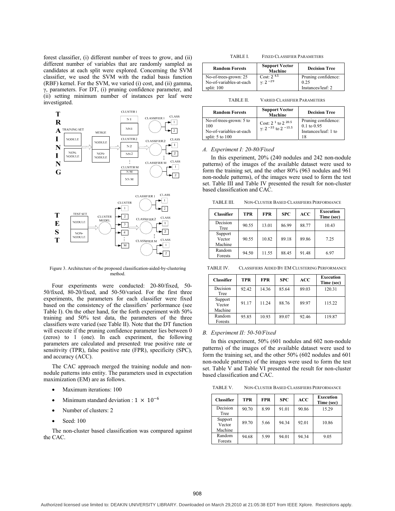forest classifier, (i) different number of trees to grow, and (ii) different number of variables that are randomly sampled as candidates at each split were explored. Concerning the SVM classifier, we used the SVM with the radial basis function (RBF) kernel. For the SVM, we varied (i) cost, and (ii) gamma,  $\gamma$ , parameters. For DT, (i) pruning confidence parameter, and (ii) setting minimum number of instances per leaf were investigated.



Figure 3. Architecture of the proposed classification-aided-by-clustering method.

Four experiments were conducted: 20-80/fixed, 50- 50/fixed, 80-20/fixed, and 50-50/varied. For the first three experiments, the parameters for each classifier were fixed based on the consistency of the classifiers' performance (see Table I). On the other hand, for the forth experiment with 50% training and 50% test data, the parameters of the three classifiers were varied (see Table II). Note that the DT function will execute if the pruning confidence parameter lies between 0 (zeros) to 1 (one). In each experiment, the following parameters are calculated and presented: true positive rate or sensitivity (TPR), false positive rate (FPR), specificity (SPC), and accuracy (ACC).

The CAC approach merged the training nodule and nonnodule patterns into entity. The parameters used in expectation maximization (EM) are as follows.

- Maximum iterations: 100
- Minimum standard deviation :  $1 \times 10^{-6}$
- Number of clusters: 2
- Seed: 100

The non-cluster based classification was compared against the CAC.

| TABLE I. | <b>FIXED CLASSIFIER PARAMETERS</b> |  |
|----------|------------------------------------|--|
|          |                                    |  |

| <b>Random Forests</b>   | <b>Support Vector</b><br>Machine |                     |
|-------------------------|----------------------------------|---------------------|
| No-of-trees-grown: 25   | Cost: $2^{4.5}$                  | Pruning confidence: |
| No-of-variables-at-each | $\gamma$ : 2 <sup>-29</sup>      | 0.25                |
| split: $100$            |                                  | Instances/leaf: 2   |

TABLE II. VARIED CLASSIFIER PARAMETERS

| <b>Random Forests</b>                                                            | <b>Support Vector</b><br>Machine                                   | <b>Decision Tree</b>                                                 |
|----------------------------------------------------------------------------------|--------------------------------------------------------------------|----------------------------------------------------------------------|
| No-of-trees-grown: 5 to<br>100<br>No-of-variables-at-each<br>split: $5$ to $100$ | Cost: $2^1$ to $2^{20.5}$<br>$\gamma$ : 2 $^{-35}$ to 2 $^{-15.5}$ | Pruning confidence:<br>$0.1$ to $0.95$<br>Instances/leaf: 1 to<br>18 |

#### *A. Experiment I: 20-80/Fixed*

In this experiment, 20% (240 nodules and 242 non-nodule patterns) of the images of the available dataset were used to form the training set, and the other 80% (963 nodules and 961 non-nodule patterns), of the images were used to form the test set. Table III and Table IV presented the result for non-cluster based classification and CAC.

TABLE III. NON-CLUSTER BASED CLASSIFIERS PERFORMANCE

| <b>Classifier</b>            | TPR   | <b>FPR</b> | <b>SPC</b> | ACC   | Execution<br>Time (sec) |
|------------------------------|-------|------------|------------|-------|-------------------------|
| Decision<br>Tree             | 90.55 | 13.01      | 86.99      | 88.77 | 10.43                   |
| Support<br>Vector<br>Machine | 90.55 | 10.82      | 89.18      | 89.86 | 725                     |
| Random<br>Forests            | 94.50 | 11.55      | 88.45      | 91.48 | 6.97                    |

TABLE IV. CLASSIFIERS AIDED BY EM CLUSTERING PERFORMANCE

| <b>Classifier</b>            | TPR   | <b>FPR</b> | <b>SPC</b> | <b>ACC</b> | Execution<br>Time (sec) |
|------------------------------|-------|------------|------------|------------|-------------------------|
| Decision<br>Tree             | 92.42 | 14.36      | 85.64      | 89.03      | 120.31                  |
| Support<br>Vector<br>Machine | 91.17 | 11.24      | 88.76      | 89.97      | 115.22                  |
| Random<br>Forests            | 95.85 | 10.93      | 89.07      | 92.46      | 119.87                  |

#### *B. Experiment II: 50-50/Fixed*

In this experiment, 50% (601 nodules and 602 non-nodule patterns) of the images of the available dataset were used to form the training set, and the other 50% (602 nodules and 601 non-nodule patterns) of the images were used to form the test set. Table V and Table VI presented the result for non-cluster based classification and CAC.

TABLE V. NON-CLUSTER BASED CLASSIFIERS PERFORMANCE

| <b>Classifier</b>            | TPR   | <b>FPR</b> | <b>SPC</b> | ACC   | Execution<br>Time (sec) |
|------------------------------|-------|------------|------------|-------|-------------------------|
| Decision<br>Tree             | 90.70 | 8.99       | 91.01      | 90.86 | 15.29                   |
| Support<br>Vector<br>Machine | 89.70 | 5.66       | 94.34      | 92.01 | 10.86                   |
| Random<br>Forests            | 94.68 | 5.99       | 94.01      | 94.34 | 9.05                    |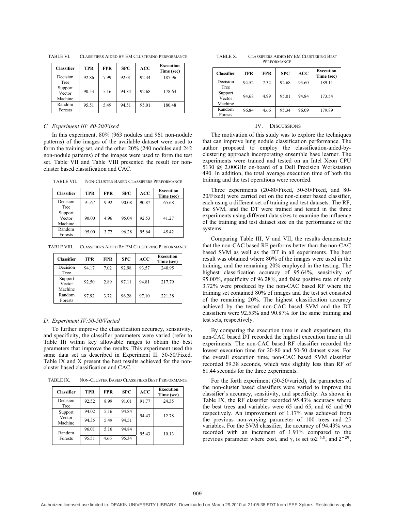| <b>Classifier</b>            | <b>TPR</b> | <b>FPR</b> | <b>SPC</b> | <b>ACC</b> | Execution<br>Time (sec) |
|------------------------------|------------|------------|------------|------------|-------------------------|
| Decision<br>Tree             | 92.86      | 7.99       | 92.01      | 92.44      | 187.96                  |
| Support<br>Vector<br>Machine | 90.53      | 5.16       | 94.84      | 92.68      | 178.64                  |
| Random<br>Forests            | 95.51      | 5.49       | 94.51      | 95.01      | 180.48                  |

TABLE VI. CLASSIFIERS AIDED BY EM CLUSTERING PERFORMANCE

#### *C. Experiment III: 80-20/Fixed*

In this experiment, 80% (963 nodules and 961 non-nodule patterns) of the images of the available dataset were used to form the training set, and the other 20% (240 nodules and 242 non-nodule patterns) of the images were used to form the test set. Table VII and Table VIII presented the result for noncluster based classification and CAC.

TABLE VII. NON-CLUSTER BASED CLASSIFIERS PERFORMANCE

| <b>Classifier</b>            | <b>TPR</b> | <b>FPR</b> | <b>SPC</b> | ACC   | Execution<br>Time (sec) |
|------------------------------|------------|------------|------------|-------|-------------------------|
| Decision<br>Tree             | 91.67      | 9.92       | 90.08      | 90.87 | 65.68                   |
| Support<br>Vector<br>Machine | 90.00      | 4.96       | 95.04      | 92.53 | 41.27                   |
| Random<br>Forests            | 95.00      | 3.72       | 96.28      | 95.64 | 45.42                   |

TABLE VIII. CLASSIFIERS AIDED BY EM CLUSTERING PERFORMANCE

| <b>Classifier</b>            | <b>TPR</b> | <b>FPR</b> | <b>SPC</b> | ACC   | <b>Execution</b><br>Time (sec) |
|------------------------------|------------|------------|------------|-------|--------------------------------|
| Decision<br>Tree             | 94.17      | 7.02       | 92.98      | 93.57 | 240.95                         |
| Support<br>Vector<br>Machine | 92.50      | 2.89       | 97.11      | 94.81 | 217.79                         |
| Random<br>Forests            | 97.92      | 3.72       | 96.28      | 97.10 | 221.38                         |

#### *D. Experiment IV:50-50/Varied*

To further improve the classification accuracy, sensitivity, and specificity, the classifier parameters were varied (refer to Table II) within key allowable ranges to obtain the best parameters that improve the results. This experiment used the same data set as described in Experiment II: 50-50/Fixed. Table IX and X present the best results achieved for the noncluster based classification and CAC.

TABLE IX. NON-CLUSTER BASED CLASSIFIERS BEST PERFORMANCE

| <b>Classifier</b> | <b>TPR</b> | <b>FPR</b> | <b>SPC</b> | ACC   | Execution<br>Time (sec) |
|-------------------|------------|------------|------------|-------|-------------------------|
| Decision<br>Tree  | 92.52      | 8.99       | 91.01      | 91.77 | 24.35                   |
| Support           | 94.02      | 5.16       | 94.84      | 94.43 | 12.78                   |
| Vector<br>Machine | 94.35      | 5.49       | 94.51      |       |                         |
| Random            | 96.01      | 5.16       | 94.84      | 95.43 | 10.13                   |
| Forests           | 95.51      | 4.66       | 95.34      |       |                         |

TABLE X. CLASSIFIERS AIDED BY EM CLUSTERING BEST **PERFORMANCE** 

| <b>Classifier</b>            | TPR   | <b>FPR</b> | <b>SPC</b> | ACC   | Execution<br>Time (sec) |
|------------------------------|-------|------------|------------|-------|-------------------------|
| Decision<br>Tree             | 94.52 | 7.32       | 92.68      | 93.60 | 189.11                  |
| Support<br>Vector<br>Machine | 94.68 | 4.99       | 95.01      | 94.84 | 173.54                  |
| Random<br>Forests            | 96.84 | 4.66       | 95.34      | 96.09 | 179.89                  |

#### IV. DISCUSSIONS

The motivation of this study was to explore the techniques that can improve lung nodule classification performance. The author proposed to employ the classification-aided-byclustering approach incorporating ensemble base learner. The experiments were trained and tested on an Intel Xeon CPU 5130 @ 2.00GHz on-board of a Dell Precision Workstation 490. In addition, the total average execution time of both the training and the test operations were recorded.

Three experiments (20-80/Fixed, 50-50/Fixed, and 80- 20/Fixed) were carried out on the non-cluster based classifier, each using a different set of training and test datasets. The RF, the SVM, and the DT were trained and tested in the three experiments using different data sizes to examine the influence of the training and test dataset size on the performance of the systems.

Comparing Table III, V and VII, the results demonstrate that the non-CAC based RF performs better than the non-CAC based SVM as well as the DT in all experiments. The best result was obtained where 80% of the images were used in the training, and the remaining 20% employed in the testing. The highest classification accuracy of 95.64%, sensitivity of 95.00%, specificity of 96.28%, and false positive rate of only 3.72% were produced by the non-CAC based RF where the training set contained 80% of images and the test set consisted of the remaining 20%. The highest classification accuracy achieved by the tested non-CAC based SVM and the DT classifiers were 92.53% and 90.87% for the same training and test sets, respectively.

By comparing the execution time in each experiment, the non-CAC based DT recorded the highest execution time in all experiments. The non-CAC based RF classifier recorded the lowest execution time for 20-80 and 50-50 dataset sizes. For the overall execution time, non-CAC based SVM classifier recorded 59.38 seconds, which was slightly less than RF of 61.44 seconds for the three experiments.

For the forth experiment (50-50/varied), the parameters of the non-cluster based classifiers were varied to improve the classifier's accuracy, sensitivity, and specificity. As shown in Table IX, the RF classifier recorded 95.43% accuracy where the best trees and variables were 65 and 65, and 65 and 90 respectively. An improvement of 1.17% was achieved from the previous non-varying parameter of 100 trees and 25 variables. For the SVM classifier, the accuracy of 94.43% was recorded with an increment of 1.91% compared to the previous parameter where cost, and  $\gamma$ , is set to  $2^{4.5}$ , and  $2^{-29}$ ,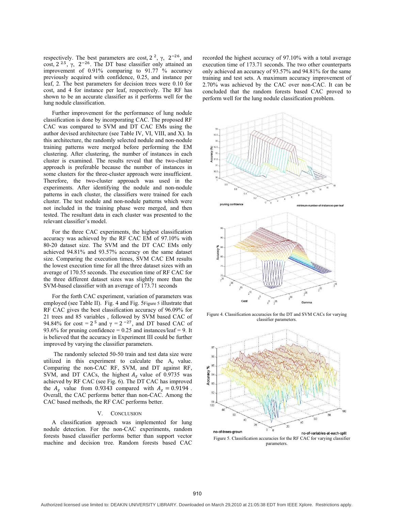respectively. The best parameters are cost,  $2^2$ ,  $\gamma$ ,  $2^{-26}$ , and cost,  $2^{2.5}$ ,  $\gamma$ ,  $2^{-26}$ . The DT base classifier only attained an improvement of  $0.91\%$  comparing to  $91.77\%$  accuracy previously acquired with confidence, 0.25, and instance per leaf, 2. The best parameters for decision trees were 0.10 for cost, and 4 for instance per leaf, respectively. The RF has shown to be an accurate classifier as it performs well for the lung nodule classification.

Further improvement for the performance of lung nodule classification is done by incorporating CAC. The proposed RF CAC was compared to SVM and DT CAC EMs using the author devised architecture (see Table IV, VI, VIII, and X). In this architecture, the randomly selected nodule and non-nodule training patterns were merged before performing the EM clustering. After clustering, the number of instances in each cluster is examined. The results reveal that the two-cluster approach is preferable because the number of instances in some clusters for the three-cluster approach were insufficient. Therefore, the two-cluster approach was used in the experiments. After identifying the nodule and non-nodule patterns in each cluster, the classifiers were trained for each cluster. The test nodule and non-nodule patterns which were not included in the training phase were merged, and then tested. The resultant data in each cluster was presented to the relevant classifier's model.

For the three CAC experiments, the highest classification accuracy was achieved by the RF CAC EM of 97.10% with 80-20 dataset size. The SVM and the DT CAC EMs only achieved 94.81% and 93.57% accuracy on the same dataset size. Comparing the execution times, SVM CAC EM results the lowest execution time for all the three dataset sizes with an average of 170.55 seconds. The execution time of RF CAC for the three different dataset sizes was slightly more than the SVM-based classifier with an average of 173.71 seconds

For the forth CAC experiment, variation of parameters was employed (see Table II). Fig. 4 and Fig. 5Figure 5 illustrate that RF CAC gives the best classification accuracy of 96.09% for 21 trees and 85 variables , followed by SVM based CAC of 94.84% for cost =  $2^5$  and  $\gamma = 2^{-27}$ , and DT based CAC of 93.6% for pruning confidence = 0.25 and instances/leaf = 9. It is believed that the accuracy in Experiment III could be further improved by varying the classifier parameters.

The randomly selected 50-50 train and test data size were utilized in this experiment to calculate the  $A<sub>z</sub>$  value. Comparing the non-CAC RF, SVM, and DT against RF, SVM, and DT CACs, the highest  $A_z$  value of 0.9735 was achieved by RF CAC (see Fig. 6). The DT CAC has improved the  $A_z$  value from 0.9343 compared with  $A_z = 0.9194$ . Overall, the CAC performs better than non-CAC. Among the CAC based methods, the RF CAC performs better.

#### V. CONCLUSION

A classification approach was implemented for lung nodule detection. For the non-CAC experiments, random forests based classifier performs better than support vector machine and decision tree. Random forests based CAC

recorded the highest accuracy of 97.10% with a total average execution time of 173.71 seconds. The two other counterparts only achieved an accuracy of 93.57% and 94.81% for the same training and test sets. A maximum accuracy improvement of 2.70% was achieved by the CAC over non-CAC. It can be concluded that the random forests based CAC proved to perform well for the lung nodule classification problem.



Figure 4. Classification accuracies for the DT and SVM CACs for varying classifier parameters.